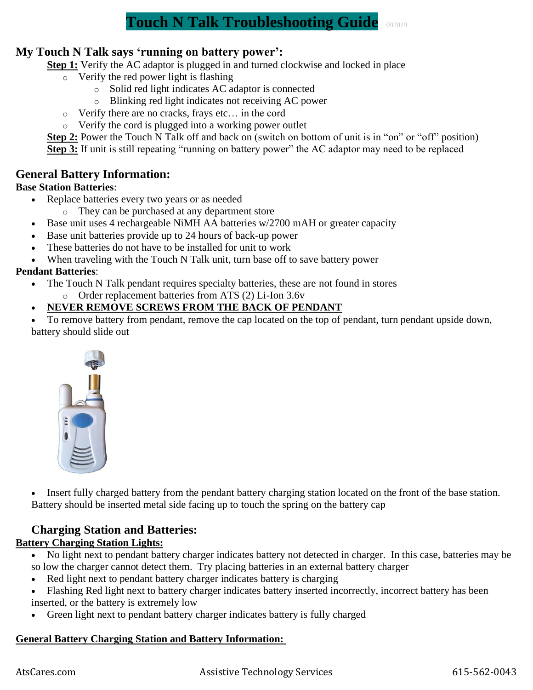# **Touch N Talk Troubleshooting Guide** <sup>092019</sup>

## **My Touch N Talk says 'running on battery power':**

**Step 1:** Verify the AC adaptor is plugged in and turned clockwise and locked in place

- o Verify the red power light is flashing
	- o Solid red light indicates AC adaptor is connected
	- o Blinking red light indicates not receiving AC power
- o Verify there are no cracks, frays etc… in the cord
- o Verify the cord is plugged into a working power outlet

**Step 2:** Power the Touch N Talk off and back on (switch on bottom of unit is in "on" or "off" position) **Step 3:** If unit is still repeating "running on battery power" the AC adaptor may need to be replaced

## **General Battery Information:**

#### **Base Station Batteries**:

- Replace batteries every two years or as needed
	- o They can be purchased at any department store
- Base unit uses 4 rechargeable NiMH AA batteries w/2700 mAH or greater capacity
- Base unit batteries provide up to 24 hours of back-up power
- These batteries do not have to be installed for unit to work
- When traveling with the Touch N Talk unit, turn base off to save battery power

#### **Pendant Batteries**:

- The Touch N Talk pendant requires specialty batteries, these are not found in stores
	- o Order replacement batteries from ATS (2) Li-Ion 3.6v

### • **NEVER REMOVE SCREWS FROM THE BACK OF PENDANT**

To remove battery from pendant, remove the cap located on the top of pendant, turn pendant upside down, battery should slide out



• Insert fully charged battery from the pendant battery charging station located on the front of the base station. Battery should be inserted metal side facing up to touch the spring on the battery cap

## **Charging Station and Batteries:**

### **Battery Charging Station Lights:**

- No light next to pendant battery charger indicates battery not detected in charger. In this case, batteries may be so low the charger cannot detect them. Try placing batteries in an external battery charger
- Red light next to pendant battery charger indicates battery is charging
- Flashing Red light next to battery charger indicates battery inserted incorrectly, incorrect battery has been
- inserted, or the battery is extremely low
- Green light next to pendant battery charger indicates battery is fully charged

#### **General Battery Charging Station and Battery Information:**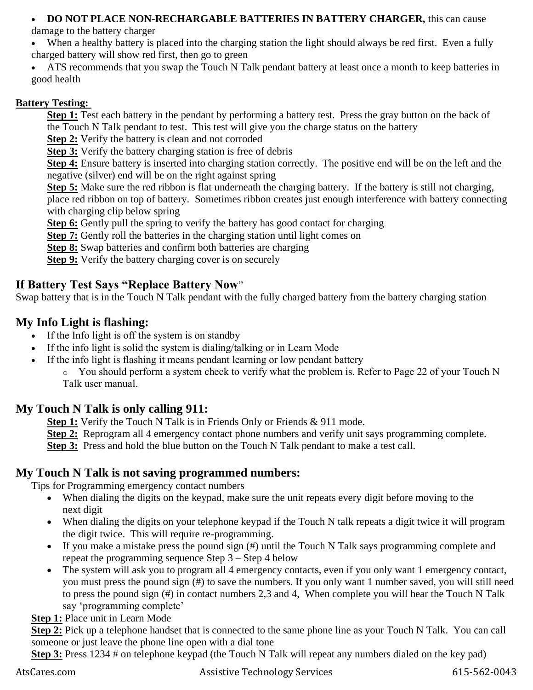### • **DO NOT PLACE NON-RECHARGABLE BATTERIES IN BATTERY CHARGER,** this can cause

damage to the battery charger

- When a healthy battery is placed into the charging station the light should always be red first. Even a fully charged battery will show red first, then go to green
- ATS recommends that you swap the Touch N Talk pendant battery at least once a month to keep batteries in good health

## **Battery Testing:**

**Step 1:** Test each battery in the pendant by performing a battery test. Press the gray button on the back of the Touch N Talk pendant to test. This test will give you the charge status on the battery

**Step 2:** Verify the battery is clean and not corroded

**Step 3:** Verify the battery charging station is free of debris

**Step 4:** Ensure battery is inserted into charging station correctly. The positive end will be on the left and the negative (silver) end will be on the right against spring

**Step 5:** Make sure the red ribbon is flat underneath the charging battery. If the battery is still not charging,

place red ribbon on top of battery. Sometimes ribbon creates just enough interference with battery connecting with charging clip below spring

**Step 6:** Gently pull the spring to verify the battery has good contact for charging

**Step 7:** Gently roll the batteries in the charging station until light comes on

**Step 8:** Swap batteries and confirm both batteries are charging

**Step 9:** Verify the battery charging cover is on securely

# **If Battery Test Says "Replace Battery Now**"

Swap battery that is in the Touch N Talk pendant with the fully charged battery from the battery charging station

# **My Info Light is flashing:**

- If the Info light is off the system is on standby
- If the info light is solid the system is dialing/talking or in Learn Mode
- If the info light is flashing it means pendant learning or low pendant battery

 $\circ$  You should perform a system check to verify what the problem is. Refer to Page 22 of your Touch N Talk user manual.

# **My Touch N Talk is only calling 911:**

- **Step 1:** Verify the Touch N Talk is in Friends Only or Friends & 911 mode.
- **Step 2:** Reprogram all 4 emergency contact phone numbers and verify unit says programming complete.

**Step 3:** Press and hold the blue button on the Touch N Talk pendant to make a test call.

# **My Touch N Talk is not saving programmed numbers:**

Tips for Programming emergency contact numbers

- When dialing the digits on the keypad, make sure the unit repeats every digit before moving to the next digit
- When dialing the digits on your telephone keypad if the Touch N talk repeats a digit twice it will program the digit twice. This will require re-programming.
- If you make a mistake press the pound sign (#) until the Touch N Talk says programming complete and repeat the programming sequence Step 3 – Step 4 below
- The system will ask you to program all 4 emergency contacts, even if you only want 1 emergency contact, you must press the pound sign (#) to save the numbers. If you only want 1 number saved, you will still need to press the pound sign (#) in contact numbers 2,3 and 4, When complete you will hear the Touch N Talk say 'programming complete'

# **Step 1:** Place unit in Learn Mode

**Step 2:** Pick up a telephone handset that is connected to the same phone line as your Touch N Talk. You can call someone or just leave the phone line open with a dial tone

**Step 3:** Press 1234 # on telephone keypad (the Touch N Talk will repeat any numbers dialed on the key pad)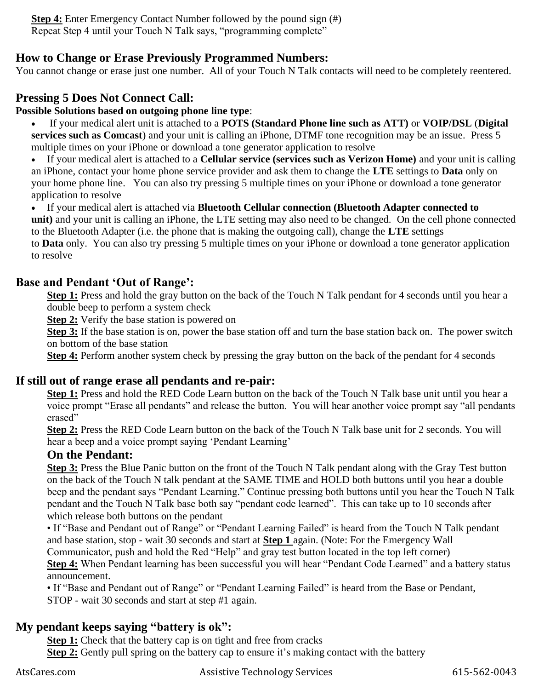**Step 4:** Enter Emergency Contact Number followed by the pound sign (#) Repeat Step 4 until your Touch N Talk says, "programming complete"

## **How to Change or Erase Previously Programmed Numbers:**

You cannot change or erase just one number. All of your Touch N Talk contacts will need to be completely reentered.

# **Pressing 5 Does Not Connect Call:**

#### **Possible Solutions based on outgoing phone line type**:

• If your medical alert unit is attached to a **POTS (Standard Phone line such as ATT)** or **VOIP/DSL** (**Digital services such as Comcast**) and your unit is calling an iPhone, DTMF tone recognition may be an issue. Press 5 multiple times on your iPhone or download a tone generator application to resolve

• If your medical alert is attached to a **Cellular service (services such as Verizon Home)** and your unit is calling an iPhone, contact your home phone service provider and ask them to change the **LTE** settings to **Data** only on your home phone line. You can also try pressing 5 multiple times on your iPhone or download a tone generator application to resolve

• If your medical alert is attached via **Bluetooth Cellular connection (Bluetooth Adapter connected to unit)** and your unit is calling an iPhone, the LTE setting may also need to be changed. On the cell phone connected to the Bluetooth Adapter (i.e. the phone that is making the outgoing call), change the **LTE** settings

to **Data** only. You can also try pressing 5 multiple times on your iPhone or download a tone generator application to resolve

## **Base and Pendant 'Out of Range':**

**Step 1:** Press and hold the gray button on the back of the Touch N Talk pendant for 4 seconds until you hear a double beep to perform a system check

**Step 2:** Verify the base station is powered on

**Step 3:** If the base station is on, power the base station off and turn the base station back on. The power switch on bottom of the base station

**Step 4:** Perform another system check by pressing the gray button on the back of the pendant for 4 seconds

## **If still out of range erase all pendants and re-pair:**

**Step 1:** Press and hold the RED Code Learn button on the back of the Touch N Talk base unit until you hear a voice prompt "Erase all pendants" and release the button. You will hear another voice prompt say "all pendants erased"

**Step 2:** Press the RED Code Learn button on the back of the Touch N Talk base unit for 2 seconds. You will hear a beep and a voice prompt saying 'Pendant Learning'

## **On the Pendant:**

**Step 3:** Press the Blue Panic button on the front of the Touch N Talk pendant along with the Gray Test button on the back of the Touch N talk pendant at the SAME TIME and HOLD both buttons until you hear a double beep and the pendant says "Pendant Learning." Continue pressing both buttons until you hear the Touch N Talk pendant and the Touch N Talk base both say "pendant code learned". This can take up to 10 seconds after which release both buttons on the pendant

• If "Base and Pendant out of Range" or "Pendant Learning Failed" is heard from the Touch N Talk pendant and base station, stop - wait 30 seconds and start at **Step 1** again. (Note: For the Emergency Wall

Communicator, push and hold the Red "Help" and gray test button located in the top left corner)

**Step 4:** When Pendant learning has been successful you will hear "Pendant Code Learned" and a battery status announcement.

• If "Base and Pendant out of Range" or "Pendant Learning Failed" is heard from the Base or Pendant, STOP - wait 30 seconds and start at step #1 again.

# **My pendant keeps saying "battery is ok":**

**Step 1:** Check that the battery cap is on tight and free from cracks **Step 2:** Gently pull spring on the battery cap to ensure it's making contact with the battery